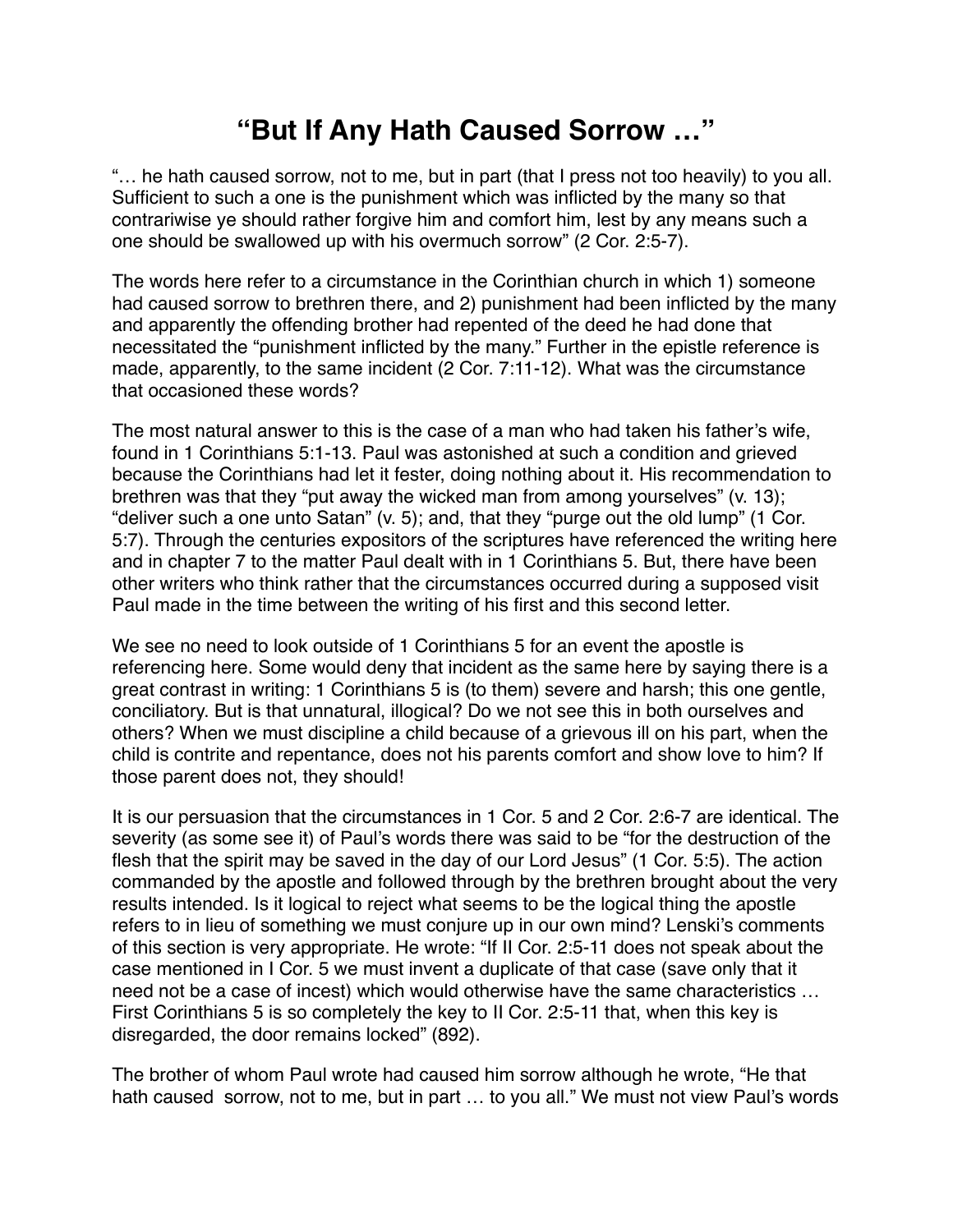## **"But If Any Hath Caused Sorrow …"**

"… he hath caused sorrow, not to me, but in part (that I press not too heavily) to you all. Sufficient to such a one is the punishment which was inflicted by the many so that contrariwise ye should rather forgive him and comfort him, lest by any means such a one should be swallowed up with his overmuch sorrow" (2 Cor. 2:5-7).

The words here refer to a circumstance in the Corinthian church in which 1) someone had caused sorrow to brethren there, and 2) punishment had been inflicted by the many and apparently the offending brother had repented of the deed he had done that necessitated the "punishment inflicted by the many." Further in the epistle reference is made, apparently, to the same incident (2 Cor. 7:11-12). What was the circumstance that occasioned these words?

The most natural answer to this is the case of a man who had taken his father's wife, found in 1 Corinthians 5:1-13. Paul was astonished at such a condition and grieved because the Corinthians had let it fester, doing nothing about it. His recommendation to brethren was that they "put away the wicked man from among yourselves" (v. 13); "deliver such a one unto Satan" (v. 5); and, that they "purge out the old lump" (1 Cor. 5:7). Through the centuries expositors of the scriptures have referenced the writing here and in chapter 7 to the matter Paul dealt with in 1 Corinthians 5. But, there have been other writers who think rather that the circumstances occurred during a supposed visit Paul made in the time between the writing of his first and this second letter.

We see no need to look outside of 1 Corinthians 5 for an event the apostle is referencing here. Some would deny that incident as the same here by saying there is a great contrast in writing: 1 Corinthians 5 is (to them) severe and harsh; this one gentle, conciliatory. But is that unnatural, illogical? Do we not see this in both ourselves and others? When we must discipline a child because of a grievous ill on his part, when the child is contrite and repentance, does not his parents comfort and show love to him? If those parent does not, they should!

It is our persuasion that the circumstances in 1 Cor. 5 and 2 Cor. 2:6-7 are identical. The severity (as some see it) of Paul's words there was said to be "for the destruction of the flesh that the spirit may be saved in the day of our Lord Jesus" (1 Cor. 5:5). The action commanded by the apostle and followed through by the brethren brought about the very results intended. Is it logical to reject what seems to be the logical thing the apostle refers to in lieu of something we must conjure up in our own mind? Lenski's comments of this section is very appropriate. He wrote: "If II Cor. 2:5-11 does not speak about the case mentioned in I Cor. 5 we must invent a duplicate of that case (save only that it need not be a case of incest) which would otherwise have the same characteristics … First Corinthians 5 is so completely the key to II Cor. 2:5-11 that, when this key is disregarded, the door remains locked" (892).

The brother of whom Paul wrote had caused him sorrow although he wrote, "He that hath caused sorrow, not to me, but in part ... to you all." We must not view Paul's words